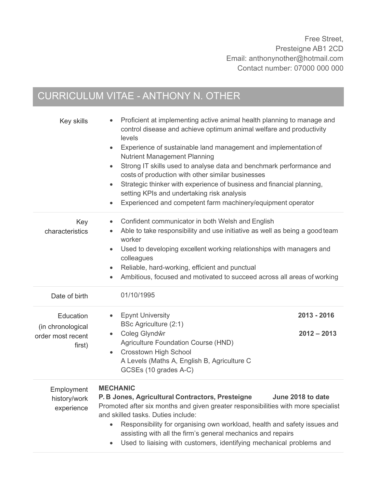# CURRICULUM VITAE - ANTHONY N. OTHER

| Key skills                                                    | Proficient at implementing active animal health planning to manage and<br>control disease and achieve optimum animal welfare and productivity<br>levels<br>Experience of sustainable land management and implementation of<br>$\bullet$<br><b>Nutrient Management Planning</b><br>Strong IT skills used to analyse data and benchmark performance and<br>$\bullet$<br>costs of production with other similar businesses<br>Strategic thinker with experience of business and financial planning,<br>$\bullet$<br>setting KPIs and undertaking risk analysis<br>Experienced and competent farm machinery/equipment operator |  |
|---------------------------------------------------------------|----------------------------------------------------------------------------------------------------------------------------------------------------------------------------------------------------------------------------------------------------------------------------------------------------------------------------------------------------------------------------------------------------------------------------------------------------------------------------------------------------------------------------------------------------------------------------------------------------------------------------|--|
| Key<br>characteristics                                        | Confident communicator in both Welsh and English<br>Able to take responsibility and use initiative as well as being a good team<br>worker<br>Used to developing excellent working relationships with managers and<br>colleagues<br>Reliable, hard-working, efficient and punctual<br>$\bullet$<br>Ambitious, focused and motivated to succeed across all areas of working                                                                                                                                                                                                                                                  |  |
| Date of birth                                                 | 01/10/1995                                                                                                                                                                                                                                                                                                                                                                                                                                                                                                                                                                                                                 |  |
| Education<br>(in chronological<br>order most recent<br>first) | <b>Epynt University</b><br>2013 - 2016<br>BSc Agriculture (2:1)<br>Coleg Glyndŵr<br>$2012 - 2013$<br>$\bullet$<br>Agriculture Foundation Course (HND)<br><b>Crosstown High School</b><br>$\bullet$<br>A Levels (Maths A, English B, Agriculture C<br>GCSEs (10 grades A-C)                                                                                                                                                                                                                                                                                                                                                 |  |
| Employment<br>history/work<br>experience                      | <b>MECHANIC</b><br>P. B Jones, Agricultural Contractors, Presteigne<br>June 2018 to date<br>Promoted after six months and given greater responsibilities with more specialist<br>and skilled tasks. Duties include:<br>Responsibility for organising own workload, health and safety issues and<br>assisting with all the firm's general mechanics and repairs<br>Used to liaising with customers, identifying mechanical problems and<br>$\bullet$                                                                                                                                                                        |  |